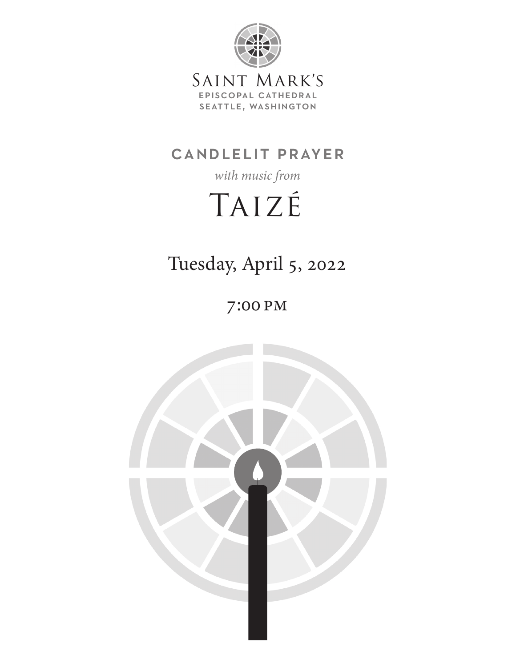

# candlelit prayer

*with music from*

# Taizé

Tuesday, April 5, 2022

7:00 pm

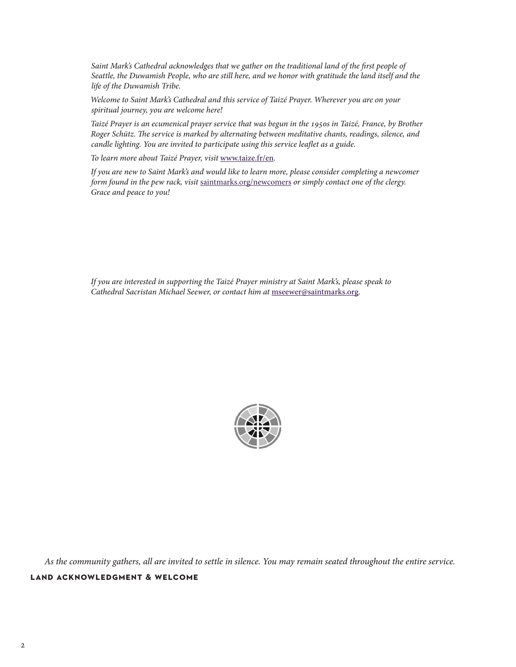Saint Mark's Cathedral acknowledges that we gather on the traditional land of the first people of *Seattle, the Duwamish People, who are still here, and we honor with gratitude the land itself and the life of the Duwamish Tribe.*

*Welcome to Saint Mark's Cathedral and this service of Taizé Prayer. Wherever you are on your spiritual journey, you are welcome here!*

*Taizé Prayer is an ecumenical prayer service that was begun in the 1950s in Taizé, France, by Brother Roger Schütz. The service is marked by alternating between meditative chants, readings, silence, and candle lighting. You are invited to participate using this service leaflet as a guide.*

*To learn more about Taizé Prayer, visit* www.taize.fr/en*.*

*If you are new to Saint Mark's and would like to learn more, please consider completing a newcomer form found in the pew rack, visit* saintmarks.org/newcomers *or simply contact one of the clergy. Grace and peace to you!*

*If you are interested in supporting the Taizé Prayer ministry at Saint Mark's, please speak to Cathedral Sacristan Michael Seewer, or contact him at* [mseewer@saintmarks.org](mailto:mseewer%40saintmarks.org?subject=Taize%20Prayer%20at%20Saint%20Mark%27s)*.*



*As the community gathers, all are invited to settle in silence. You may remain seated throughout the entire service.*

#### **land acknowledgment & welcome**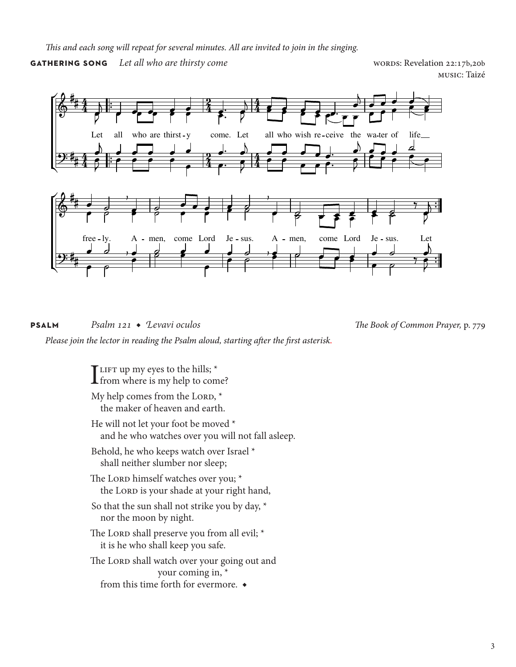*This and each song will repeat for several minutes. All are invited to join in the singing.*

**GATHERING SONG** Let all who are thirsty come words words: Revelation 22:17b,20b

music: Taizé



**psalm** *Psalm 121* ◆ *Levavi oculos The Book of Common Prayer,* p. 779

*Please join the lector in reading the Psalm aloud, starting after the first asterisk.*

TLIFT up my eyes to the hills;  $*$  $\blacksquare$  from where is my help to come?

My help comes from the LORD,  $*$ the maker of heaven and earth.

He will not let your foot be moved  $^\star$ and he who watches over you will not fall asleep.

Behold, he who keeps watch over Israel \* shall neither slumber nor sleep;

The Lorp himself watches over you; \* the Lorp is your shade at your right hand,

So that the sun shall not strike you by day, \* nor the moon by night.

The Lord shall preserve you from all evil; \* it is he who shall keep you safe.

The Lorp shall watch over your going out and your coming in, \* from this time forth for evermore. ◆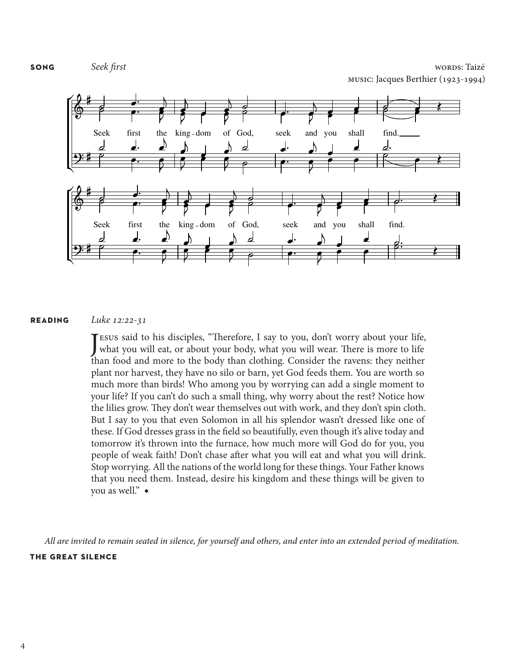**song** *Seek first* words: Taizé music: Jacques Berthier (1923-1994)



#### **reading** *Luke 12:22-31*

Jesus said to his disciples, "Therefore, I say to you, don't worry about your life,<br>what you will eat, or about your body, what you will wear. There is more to life [ESUS said to his disciples, "Therefore, I say to you, don't worry about your life, than food and more to the body than clothing. Consider the ravens: they neither plant nor harvest, they have no silo or barn, yet God feeds them. You are worth so much more than birds! Who among you by worrying can add a single moment to your life? If you can't do such a small thing, why worry about the rest? Notice how the lilies grow. They don't wear themselves out with work, and they don't spin cloth. But I say to you that even Solomon in all his splendor wasn't dressed like one of these. If God dresses grass in the field so beautifully, even though it's alive today and tomorrow it's thrown into the furnace, how much more will God do for you, you people of weak faith! Don't chase after what you will eat and what you will drink. Stop worrying. All the nations of the world long for these things. Your Father knows that you need them. Instead, desire his kingdom and these things will be given to you as well." ◆

*All are invited to remain seated in silence, for yourself and others, and enter into an extended period of meditation.*  **the great silence**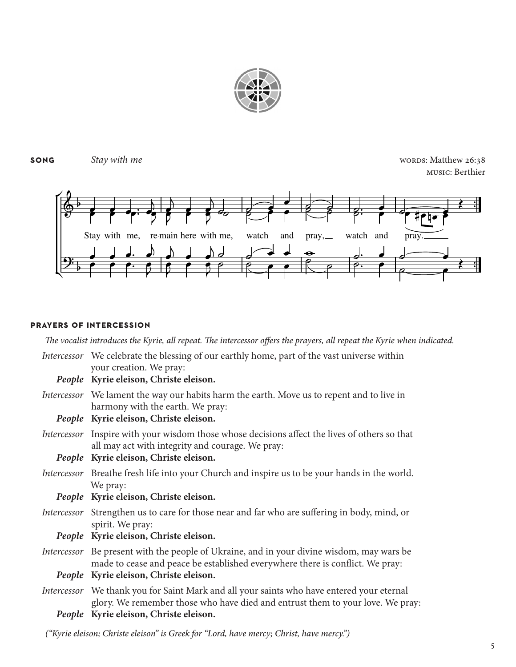

### **song** Stay with me Stay with me

music: Berthier



#### **prayers of intercession**

*The vocalist introduces the Kyrie, all repeat. The intercessor offers the prayers, all repeat the Kyrie when indicated.* 

| Intercessor We celebrate the blessing of our earthly home, part of the vast universe within<br>your creation. We pray:                                                      |
|-----------------------------------------------------------------------------------------------------------------------------------------------------------------------------|
| People Kyrie eleison, Christe eleison.                                                                                                                                      |
| <i>Intercessor</i> We lament the way our habits harm the earth. Move us to repent and to live in<br>harmony with the earth. We pray:                                        |
| People Kyrie eleison, Christe eleison.                                                                                                                                      |
| Intercessor Inspire with your wisdom those whose decisions affect the lives of others so that<br>all may act with integrity and courage. We pray:                           |
| People Kyrie eleison, Christe eleison.                                                                                                                                      |
| <i>Intercessor</i> Breathe fresh life into your Church and inspire us to be your hands in the world.<br>We pray:                                                            |
| People Kyrie eleison, Christe eleison.                                                                                                                                      |
| <i>Intercessor</i> Strengthen us to care for those near and far who are suffering in body, mind, or<br>spirit. We pray:                                                     |
| People Kyrie eleison, Christe eleison.                                                                                                                                      |
| Intercessor Be present with the people of Ukraine, and in your divine wisdom, may wars be<br>made to cease and peace be established everywhere there is conflict. We pray:  |
| People Kyrie eleison, Christe eleison.                                                                                                                                      |
| Intercessor We thank you for Saint Mark and all your saints who have entered your eternal<br>glory. We remember those who have died and entrust them to your love. We pray: |
| People Kyrie eleison, Christe eleison.                                                                                                                                      |

*("Kyrie eleison; Christe eleison" is Greek for "Lord, have mercy; Christ, have mercy.")*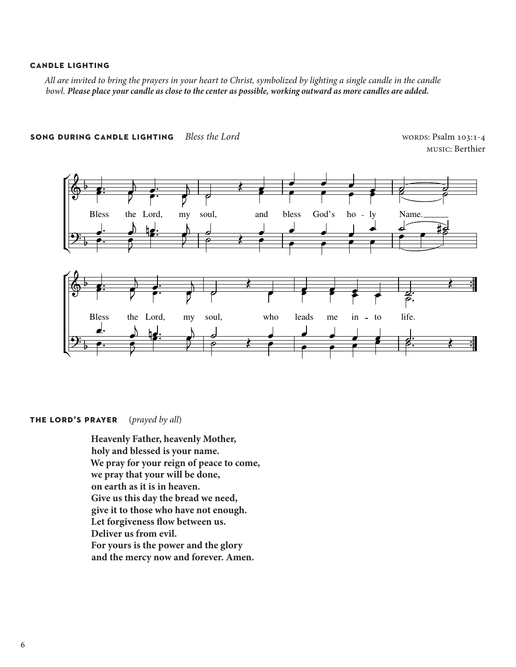#### **candle lighting**

All are invited to bring the prayers in your heart to Christ, symbolized by lighting a single candle in the candle *bowl. Please place your candle as close to the center as possible, working outward as more candles are added.*



**song during candle lighting** *Bless the Lord* words: Psalm 103:1-4

music: Berthier

#### **the lord's prayer** (*prayed by all*)

**Heavenly Father, heavenly Mother, holy and blessed is your name. We pray for your reign of peace to come, we pray that your will be done, on earth as it is in heaven. Give us this day the bread we need, give it to those who have not enough. Let forgiveness flow between us. Deliver us from evil. For yours is the power and the glory and the mercy now and forever. Amen.**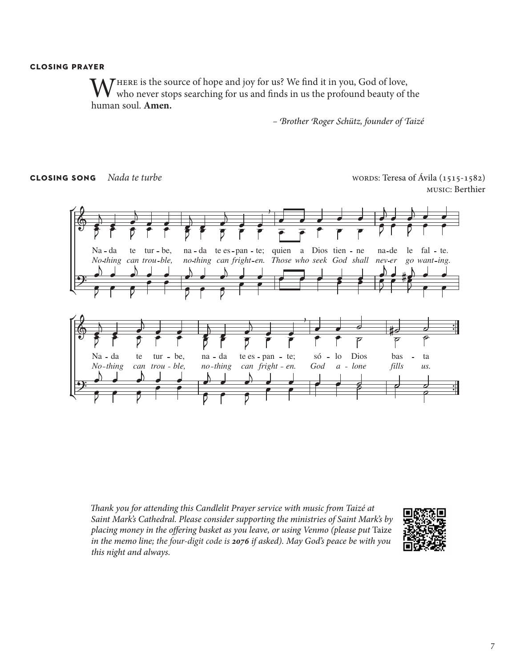#### **closing prayer**

WHERE is the source of hope and joy for us? We find it in you, God of love,<br>who never stops searching for us and finds in us the profound beauty of the human soul. **Amen.**

*– Brother Roger Schütz, founder of Taizé*

**closing song** *Nada te turbe* words: Teresa of Ávila (1515-1582) music: Berthier



*Thank you for attending this Candlelit Prayer service with music from Taizé at Saint Mark's Cathedral. Please consider supporting the ministries of Saint Mark's by placing money in the offering basket as you leave, or using Venmo (please put* Taize *in the memo line; the four-digit code is 2076 if asked). May God's peace be with you this night and always.*